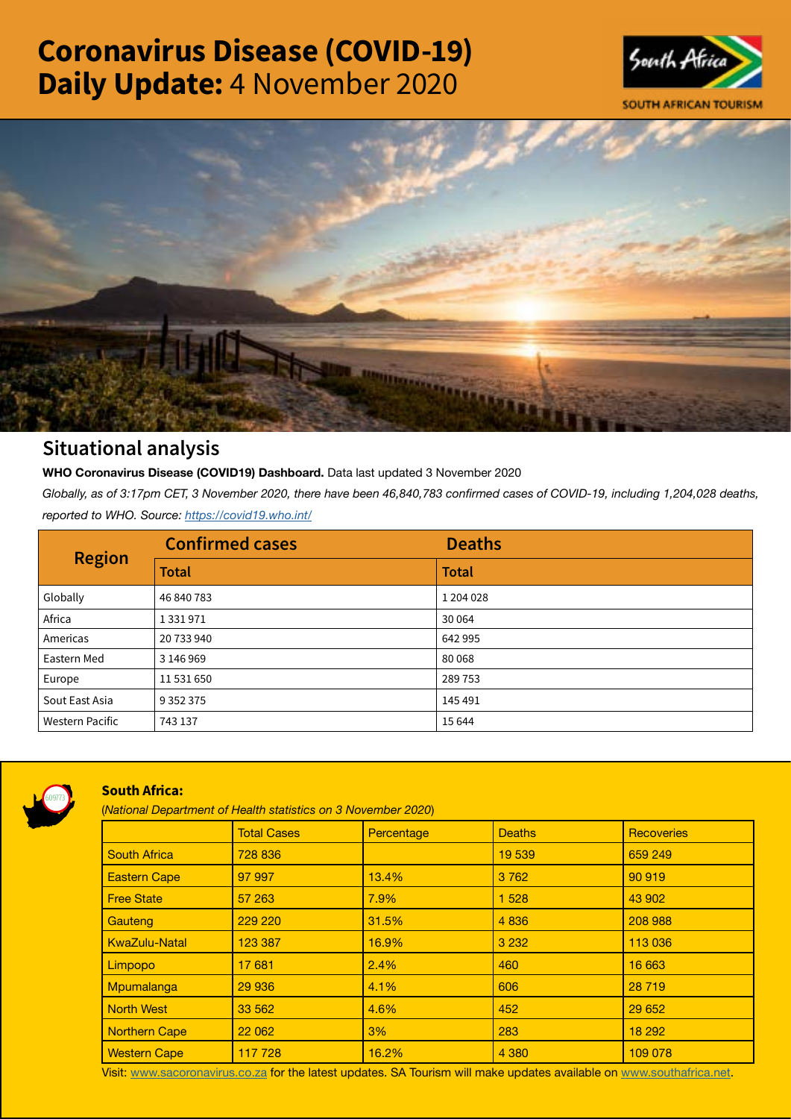# Coronavirus Disease (COVID-19) Daily Update: 4 November 2020





# Situational analysis

**WHO Coronavirus Disease (COVID19) Dashboard.** Data last updated 3 November 2020

*Globally, as of 3:17pm CET, 3 November 2020, there have been 46,840,783 confirmed cases of COVID-19, including 1,204,028 deaths, reported to WHO. Source:<https://covid19.who.int/>*

| <b>Region</b>          | <b>Confirmed cases</b> | <b>Deaths</b> |
|------------------------|------------------------|---------------|
|                        | <b>Total</b>           | <b>Total</b>  |
| Globally               | 46 840 783             | 1 204 0 28    |
| Africa                 | 1 3 3 1 9 7 1          | 30 0 64       |
| Americas               | 20 733 940             | 642 995       |
| Eastern Med            | 3 146 969              | 80068         |
| Europe                 | 11 531 650             | 289753        |
| Sout East Asia         | 9 3 5 2 3 7 5          | 145 491       |
| <b>Western Pacific</b> | 743 137                | 15 6 44       |



# South Africa:

(*National Department of Health statistics on 3 November 2020*)

|                      | <b>Total Cases</b> | Percentage | <b>Deaths</b> | <b>Recoveries</b> |  |  |
|----------------------|--------------------|------------|---------------|-------------------|--|--|
| <b>South Africa</b>  | 728 836            |            | 19 539        | 659 249           |  |  |
| <b>Eastern Cape</b>  | 97 997             | 13.4%      | 3 7 6 2       | 90 919            |  |  |
| <b>Free State</b>    | 57 263             | 7.9%       | 1 5 2 8       | 43 902            |  |  |
| Gauteng              | 229 220            | 31.5%      | 4 8 3 6       | 208 988           |  |  |
| <b>KwaZulu-Natal</b> | 123 387            | 16.9%      | 3 2 3 2       | 113 036           |  |  |
| Limpopo              | 17681              | 2.4%       | 460           | 16 663            |  |  |
| Mpumalanga           | 29 936             | 4.1%       | 606           | 28 719            |  |  |
| <b>North West</b>    | 33 562             | 4.6%       | 452           | 29 652            |  |  |
| Northern Cape        | 22 062             | 3%         | 283           | 18 29 2           |  |  |
| <b>Western Cape</b>  | 117728             | 16.2%      | 4 3 8 0       | 109 078           |  |  |

Visit: [www.sacoronavirus.co.za](http://www.sacoronavirus.co.za) for the latest updates. SA Tourism will make updates available on [www.southafrica.net.](http://www.southafrica.net)